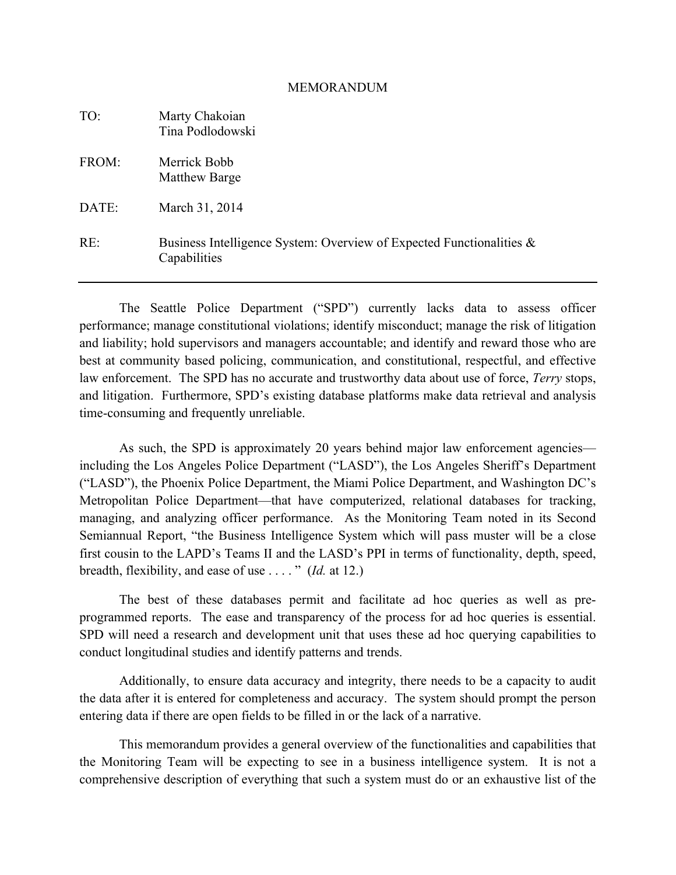#### MEMORANDUM

| TO:   | Marty Chakoian<br>Tina Podlodowski                                                   |
|-------|--------------------------------------------------------------------------------------|
| FROM: | Merrick Bobb<br>Matthew Barge                                                        |
| DATE: | March 31, 2014                                                                       |
| RE:   | Business Intelligence System: Overview of Expected Functionalities &<br>Capabilities |

The Seattle Police Department ("SPD") currently lacks data to assess officer performance; manage constitutional violations; identify misconduct; manage the risk of litigation and liability; hold supervisors and managers accountable; and identify and reward those who are best at community based policing, communication, and constitutional, respectful, and effective law enforcement. The SPD has no accurate and trustworthy data about use of force, *Terry* stops, and litigation. Furthermore, SPD's existing database platforms make data retrieval and analysis time-consuming and frequently unreliable.

As such, the SPD is approximately 20 years behind major law enforcement agencies including the Los Angeles Police Department ("LASD"), the Los Angeles Sheriff's Department ("LASD"), the Phoenix Police Department, the Miami Police Department, and Washington DC's Metropolitan Police Department—that have computerized, relational databases for tracking, managing, and analyzing officer performance. As the Monitoring Team noted in its Second Semiannual Report, "the Business Intelligence System which will pass muster will be a close first cousin to the LAPD's Teams II and the LASD's PPI in terms of functionality, depth, speed, breadth, flexibility, and ease of use . . . . " (*Id.* at 12.)

The best of these databases permit and facilitate ad hoc queries as well as preprogrammed reports. The ease and transparency of the process for ad hoc queries is essential. SPD will need a research and development unit that uses these ad hoc querying capabilities to conduct longitudinal studies and identify patterns and trends.

Additionally, to ensure data accuracy and integrity, there needs to be a capacity to audit the data after it is entered for completeness and accuracy. The system should prompt the person entering data if there are open fields to be filled in or the lack of a narrative.

This memorandum provides a general overview of the functionalities and capabilities that the Monitoring Team will be expecting to see in a business intelligence system. It is not a comprehensive description of everything that such a system must do or an exhaustive list of the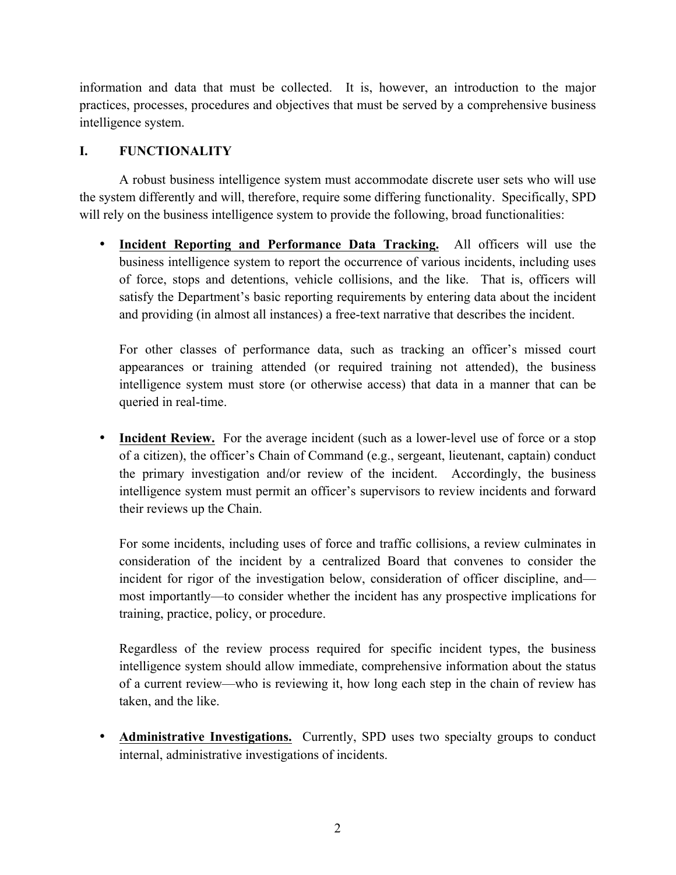information and data that must be collected. It is, however, an introduction to the major practices, processes, procedures and objectives that must be served by a comprehensive business intelligence system.

### **I. FUNCTIONALITY**

A robust business intelligence system must accommodate discrete user sets who will use the system differently and will, therefore, require some differing functionality. Specifically, SPD will rely on the business intelligence system to provide the following, broad functionalities:

• **Incident Reporting and Performance Data Tracking.** All officers will use the business intelligence system to report the occurrence of various incidents, including uses of force, stops and detentions, vehicle collisions, and the like. That is, officers will satisfy the Department's basic reporting requirements by entering data about the incident and providing (in almost all instances) a free-text narrative that describes the incident.

For other classes of performance data, such as tracking an officer's missed court appearances or training attended (or required training not attended), the business intelligence system must store (or otherwise access) that data in a manner that can be queried in real-time.

• **Incident Review.** For the average incident (such as a lower-level use of force or a stop of a citizen), the officer's Chain of Command (e.g., sergeant, lieutenant, captain) conduct the primary investigation and/or review of the incident. Accordingly, the business intelligence system must permit an officer's supervisors to review incidents and forward their reviews up the Chain.

For some incidents, including uses of force and traffic collisions, a review culminates in consideration of the incident by a centralized Board that convenes to consider the incident for rigor of the investigation below, consideration of officer discipline, and most importantly—to consider whether the incident has any prospective implications for training, practice, policy, or procedure.

Regardless of the review process required for specific incident types, the business intelligence system should allow immediate, comprehensive information about the status of a current review—who is reviewing it, how long each step in the chain of review has taken, and the like.

• **Administrative Investigations.** Currently, SPD uses two specialty groups to conduct internal, administrative investigations of incidents.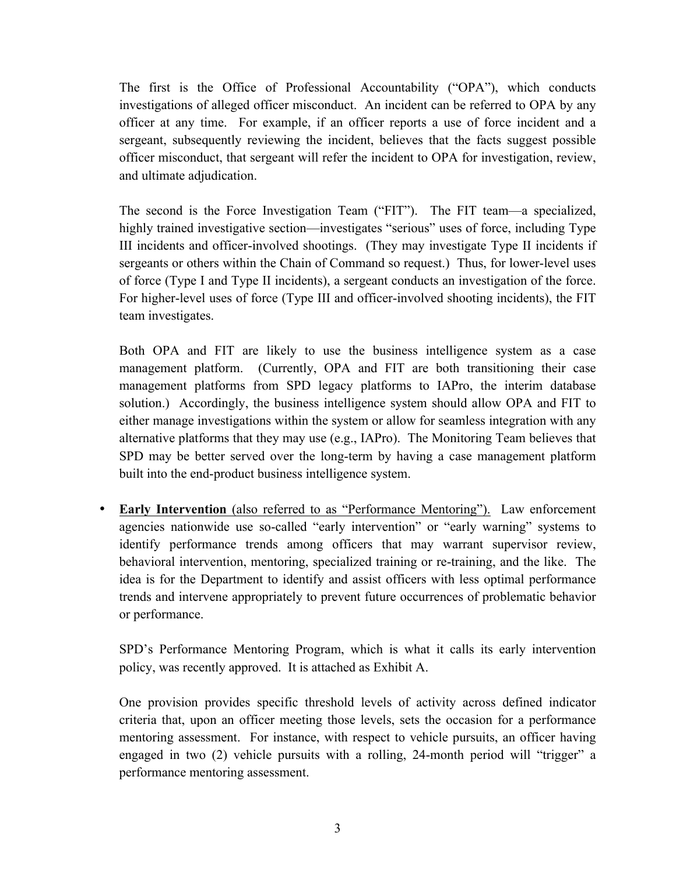The first is the Office of Professional Accountability ("OPA"), which conducts investigations of alleged officer misconduct. An incident can be referred to OPA by any officer at any time. For example, if an officer reports a use of force incident and a sergeant, subsequently reviewing the incident, believes that the facts suggest possible officer misconduct, that sergeant will refer the incident to OPA for investigation, review, and ultimate adjudication.

The second is the Force Investigation Team ("FIT"). The FIT team—a specialized, highly trained investigative section—investigates "serious" uses of force, including Type III incidents and officer-involved shootings. (They may investigate Type II incidents if sergeants or others within the Chain of Command so request.) Thus, for lower-level uses of force (Type I and Type II incidents), a sergeant conducts an investigation of the force. For higher-level uses of force (Type III and officer-involved shooting incidents), the FIT team investigates.

Both OPA and FIT are likely to use the business intelligence system as a case management platform. (Currently, OPA and FIT are both transitioning their case management platforms from SPD legacy platforms to IAPro, the interim database solution.) Accordingly, the business intelligence system should allow OPA and FIT to either manage investigations within the system or allow for seamless integration with any alternative platforms that they may use (e.g., IAPro). The Monitoring Team believes that SPD may be better served over the long-term by having a case management platform built into the end-product business intelligence system.

• **Early Intervention** (also referred to as "Performance Mentoring"). Law enforcement agencies nationwide use so-called "early intervention" or "early warning" systems to identify performance trends among officers that may warrant supervisor review, behavioral intervention, mentoring, specialized training or re-training, and the like. The idea is for the Department to identify and assist officers with less optimal performance trends and intervene appropriately to prevent future occurrences of problematic behavior or performance.

SPD's Performance Mentoring Program, which is what it calls its early intervention policy, was recently approved. It is attached as Exhibit A.

One provision provides specific threshold levels of activity across defined indicator criteria that, upon an officer meeting those levels, sets the occasion for a performance mentoring assessment. For instance, with respect to vehicle pursuits, an officer having engaged in two (2) vehicle pursuits with a rolling, 24-month period will "trigger" a performance mentoring assessment.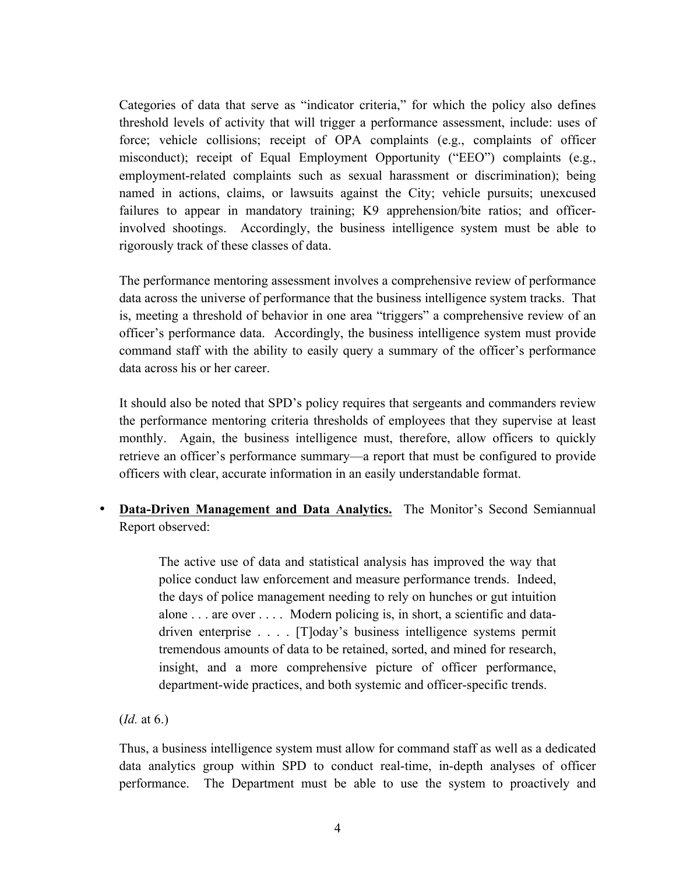Categories of data that serve as "indicator criteria," for which the policy also defines threshold levels of activity that will trigger a performance assessment, include: uses of force; vehicle collisions; receipt of OPA complaints (e.g., complaints of officer misconduct); receipt of Equal Employment Opportunity ("EEO") complaints (e.g., employment-related complaints such as sexual harassment or discrimination); being named in actions, claims, or lawsuits against the City; vehicle pursuits; unexcused failures to appear in mandatory training; K9 apprehension/bite ratios; and officerinvolved shootings. Accordingly, the business intelligence system must be able to rigorously track of these classes of data.

The performance mentoring assessment involves a comprehensive review of performance data across the universe of performance that the business intelligence system tracks. That is, meeting a threshold of behavior in one area "triggers" a comprehensive review of an officer's performance data. Accordingly, the business intelligence system must provide command staff with the ability to easily query a summary of the officer's performance data across his or her career.

It should also be noted that SPD's policy requires that sergeants and commanders review the performance mentoring criteria thresholds of employees that they supervise at least monthly. Again, the business intelligence must, therefore, allow officers to quickly retrieve an officer's performance summary—a report that must be configured to provide officers with clear, accurate information in an easily understandable format.

• **Data-Driven Management and Data Analytics.** The Monitor's Second Semiannual Report observed:

> The active use of data and statistical analysis has improved the way that police conduct law enforcement and measure performance trends. Indeed, the days of police management needing to rely on hunches or gut intuition alone . . . are over . . . . Modern policing is, in short, a scientific and datadriven enterprise . . . . [T]oday's business intelligence systems permit tremendous amounts of data to be retained, sorted, and mined for research, insight, and a more comprehensive picture of officer performance, department-wide practices, and both systemic and officer-specific trends.

(*Id.* at 6.)

Thus, a business intelligence system must allow for command staff as well as a dedicated data analytics group within SPD to conduct real-time, in-depth analyses of officer performance. The Department must be able to use the system to proactively and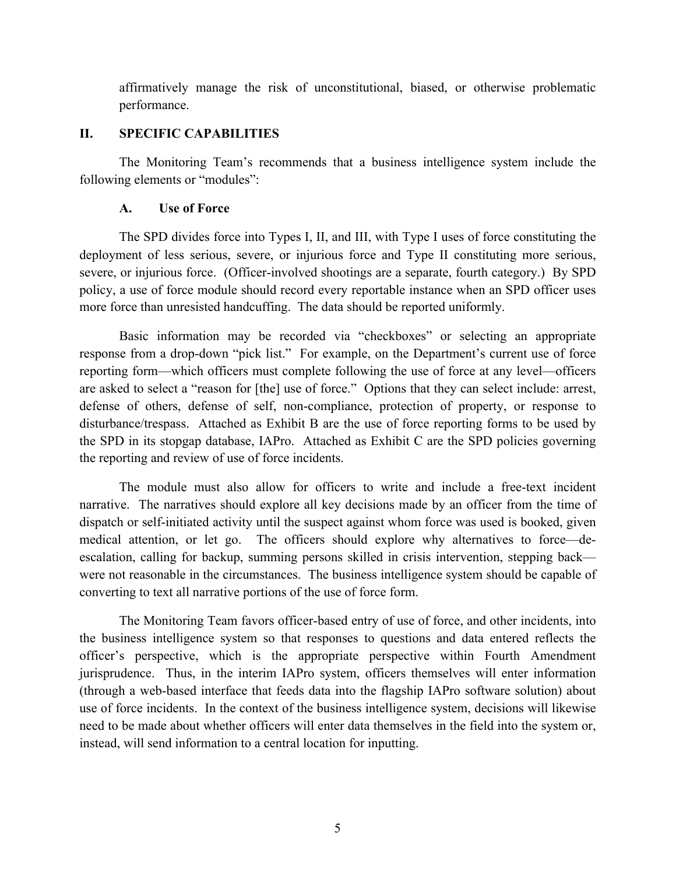affirmatively manage the risk of unconstitutional, biased, or otherwise problematic performance.

### **II. SPECIFIC CAPABILITIES**

The Monitoring Team's recommends that a business intelligence system include the following elements or "modules":

#### **A. Use of Force**

The SPD divides force into Types I, II, and III, with Type I uses of force constituting the deployment of less serious, severe, or injurious force and Type II constituting more serious, severe, or injurious force. (Officer-involved shootings are a separate, fourth category.) By SPD policy, a use of force module should record every reportable instance when an SPD officer uses more force than unresisted handcuffing. The data should be reported uniformly.

Basic information may be recorded via "checkboxes" or selecting an appropriate response from a drop-down "pick list." For example, on the Department's current use of force reporting form—which officers must complete following the use of force at any level—officers are asked to select a "reason for [the] use of force." Options that they can select include: arrest, defense of others, defense of self, non-compliance, protection of property, or response to disturbance/trespass. Attached as Exhibit B are the use of force reporting forms to be used by the SPD in its stopgap database, IAPro. Attached as Exhibit C are the SPD policies governing the reporting and review of use of force incidents.

The module must also allow for officers to write and include a free-text incident narrative. The narratives should explore all key decisions made by an officer from the time of dispatch or self-initiated activity until the suspect against whom force was used is booked, given medical attention, or let go. The officers should explore why alternatives to force—deescalation, calling for backup, summing persons skilled in crisis intervention, stepping back were not reasonable in the circumstances. The business intelligence system should be capable of converting to text all narrative portions of the use of force form.

The Monitoring Team favors officer-based entry of use of force, and other incidents, into the business intelligence system so that responses to questions and data entered reflects the officer's perspective, which is the appropriate perspective within Fourth Amendment jurisprudence. Thus, in the interim IAPro system, officers themselves will enter information (through a web-based interface that feeds data into the flagship IAPro software solution) about use of force incidents. In the context of the business intelligence system, decisions will likewise need to be made about whether officers will enter data themselves in the field into the system or, instead, will send information to a central location for inputting.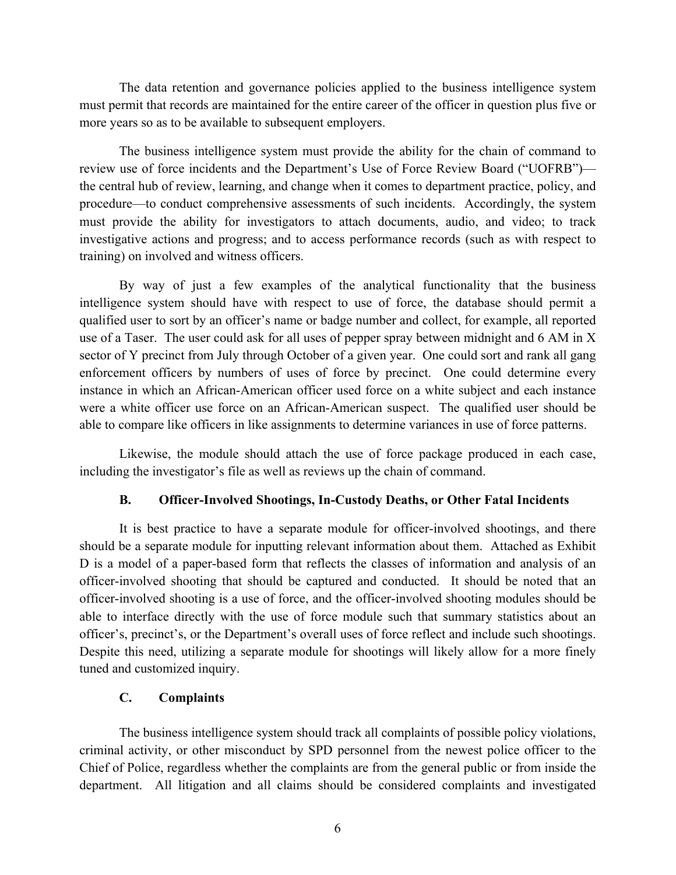The data retention and governance policies applied to the business intelligence system must permit that records are maintained for the entire career of the officer in question plus five or more years so as to be available to subsequent employers.

The business intelligence system must provide the ability for the chain of command to review use of force incidents and the Department's Use of Force Review Board ("UOFRB") the central hub of review, learning, and change when it comes to department practice, policy, and procedure—to conduct comprehensive assessments of such incidents. Accordingly, the system must provide the ability for investigators to attach documents, audio, and video; to track investigative actions and progress; and to access performance records (such as with respect to training) on involved and witness officers.

By way of just a few examples of the analytical functionality that the business intelligence system should have with respect to use of force, the database should permit a qualified user to sort by an officer's name or badge number and collect, for example, all reported use of a Taser. The user could ask for all uses of pepper spray between midnight and 6 AM in X sector of Y precinct from July through October of a given year. One could sort and rank all gang enforcement officers by numbers of uses of force by precinct. One could determine every instance in which an African-American officer used force on a white subject and each instance were a white officer use force on an African-American suspect. The qualified user should be able to compare like officers in like assignments to determine variances in use of force patterns.

Likewise, the module should attach the use of force package produced in each case, including the investigator's file as well as reviews up the chain of command.

#### **B. Officer-Involved Shootings, In-Custody Deaths, or Other Fatal Incidents**

It is best practice to have a separate module for officer-involved shootings, and there should be a separate module for inputting relevant information about them. Attached as Exhibit D is a model of a paper-based form that reflects the classes of information and analysis of an officer-involved shooting that should be captured and conducted. It should be noted that an officer-involved shooting is a use of force, and the officer-involved shooting modules should be able to interface directly with the use of force module such that summary statistics about an officer's, precinct's, or the Department's overall uses of force reflect and include such shootings. Despite this need, utilizing a separate module for shootings will likely allow for a more finely tuned and customized inquiry.

#### **C. Complaints**

The business intelligence system should track all complaints of possible policy violations, criminal activity, or other misconduct by SPD personnel from the newest police officer to the Chief of Police, regardless whether the complaints are from the general public or from inside the department. All litigation and all claims should be considered complaints and investigated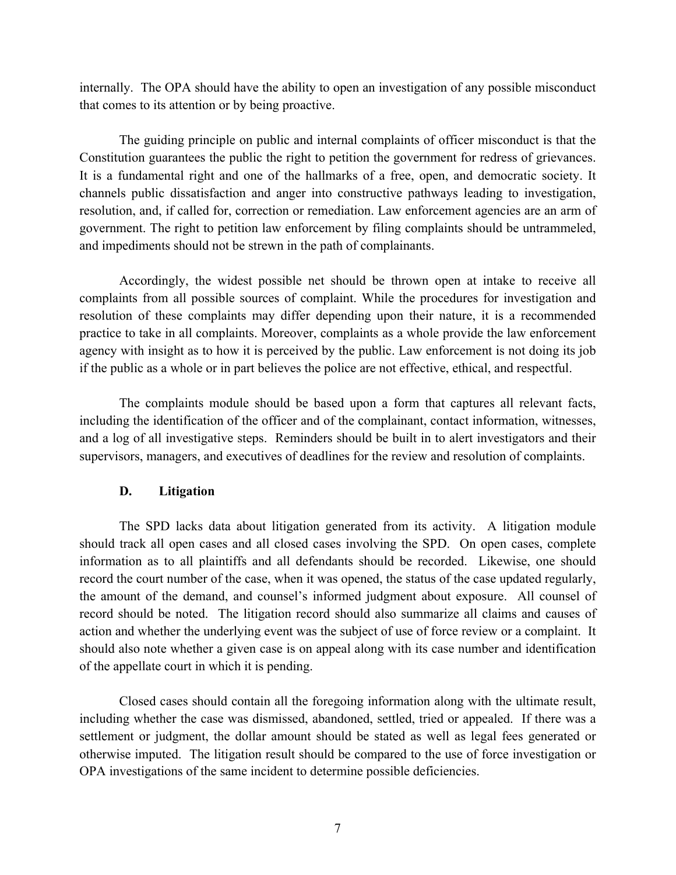internally. The OPA should have the ability to open an investigation of any possible misconduct that comes to its attention or by being proactive.

The guiding principle on public and internal complaints of officer misconduct is that the Constitution guarantees the public the right to petition the government for redress of grievances. It is a fundamental right and one of the hallmarks of a free, open, and democratic society. It channels public dissatisfaction and anger into constructive pathways leading to investigation, resolution, and, if called for, correction or remediation. Law enforcement agencies are an arm of government. The right to petition law enforcement by filing complaints should be untrammeled, and impediments should not be strewn in the path of complainants.

Accordingly, the widest possible net should be thrown open at intake to receive all complaints from all possible sources of complaint. While the procedures for investigation and resolution of these complaints may differ depending upon their nature, it is a recommended practice to take in all complaints. Moreover, complaints as a whole provide the law enforcement agency with insight as to how it is perceived by the public. Law enforcement is not doing its job if the public as a whole or in part believes the police are not effective, ethical, and respectful.

The complaints module should be based upon a form that captures all relevant facts, including the identification of the officer and of the complainant, contact information, witnesses, and a log of all investigative steps. Reminders should be built in to alert investigators and their supervisors, managers, and executives of deadlines for the review and resolution of complaints.

### **D. Litigation**

The SPD lacks data about litigation generated from its activity. A litigation module should track all open cases and all closed cases involving the SPD. On open cases, complete information as to all plaintiffs and all defendants should be recorded. Likewise, one should record the court number of the case, when it was opened, the status of the case updated regularly, the amount of the demand, and counsel's informed judgment about exposure. All counsel of record should be noted. The litigation record should also summarize all claims and causes of action and whether the underlying event was the subject of use of force review or a complaint. It should also note whether a given case is on appeal along with its case number and identification of the appellate court in which it is pending.

Closed cases should contain all the foregoing information along with the ultimate result, including whether the case was dismissed, abandoned, settled, tried or appealed. If there was a settlement or judgment, the dollar amount should be stated as well as legal fees generated or otherwise imputed. The litigation result should be compared to the use of force investigation or OPA investigations of the same incident to determine possible deficiencies.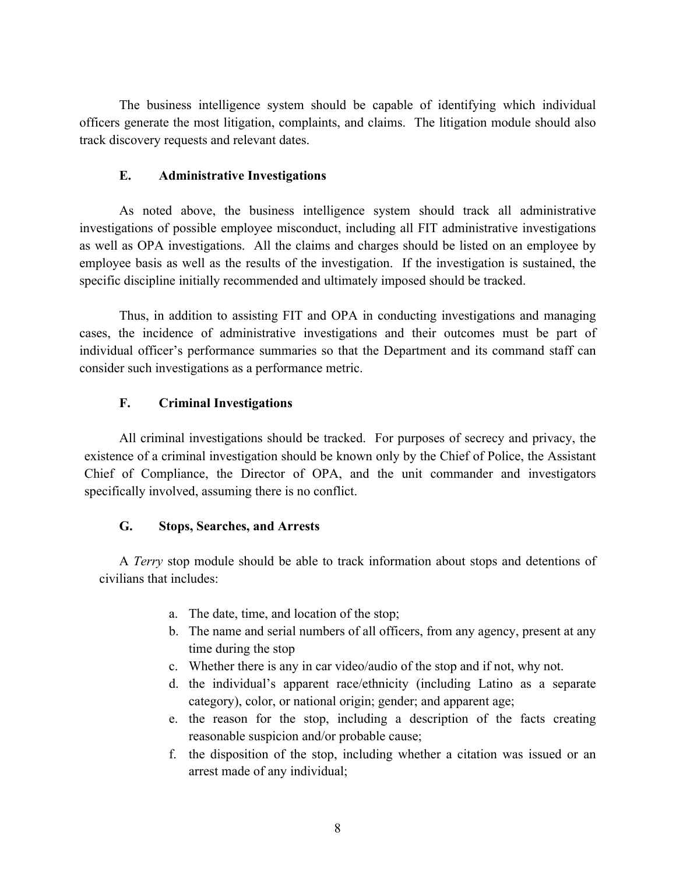The business intelligence system should be capable of identifying which individual officers generate the most litigation, complaints, and claims. The litigation module should also track discovery requests and relevant dates.

### **E. Administrative Investigations**

As noted above, the business intelligence system should track all administrative investigations of possible employee misconduct, including all FIT administrative investigations as well as OPA investigations. All the claims and charges should be listed on an employee by employee basis as well as the results of the investigation. If the investigation is sustained, the specific discipline initially recommended and ultimately imposed should be tracked.

Thus, in addition to assisting FIT and OPA in conducting investigations and managing cases, the incidence of administrative investigations and their outcomes must be part of individual officer's performance summaries so that the Department and its command staff can consider such investigations as a performance metric.

### **F. Criminal Investigations**

All criminal investigations should be tracked. For purposes of secrecy and privacy, the existence of a criminal investigation should be known only by the Chief of Police, the Assistant Chief of Compliance, the Director of OPA, and the unit commander and investigators specifically involved, assuming there is no conflict.

#### **G. Stops, Searches, and Arrests**

A *Terry* stop module should be able to track information about stops and detentions of civilians that includes:

- a. The date, time, and location of the stop;
- b. The name and serial numbers of all officers, from any agency, present at any time during the stop
- c. Whether there is any in car video/audio of the stop and if not, why not.
- d. the individual's apparent race/ethnicity (including Latino as a separate category), color, or national origin; gender; and apparent age;
- e. the reason for the stop, including a description of the facts creating reasonable suspicion and/or probable cause;
- f. the disposition of the stop, including whether a citation was issued or an arrest made of any individual;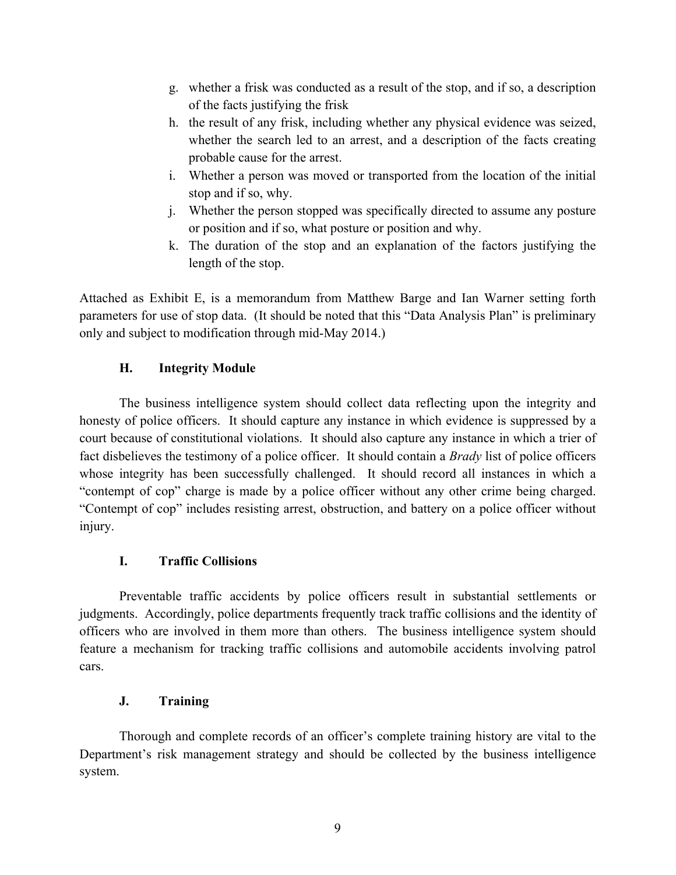- g. whether a frisk was conducted as a result of the stop, and if so, a description of the facts justifying the frisk
- h. the result of any frisk, including whether any physical evidence was seized, whether the search led to an arrest, and a description of the facts creating probable cause for the arrest.
- i. Whether a person was moved or transported from the location of the initial stop and if so, why.
- j. Whether the person stopped was specifically directed to assume any posture or position and if so, what posture or position and why.
- k. The duration of the stop and an explanation of the factors justifying the length of the stop.

Attached as Exhibit E, is a memorandum from Matthew Barge and Ian Warner setting forth parameters for use of stop data. (It should be noted that this "Data Analysis Plan" is preliminary only and subject to modification through mid-May 2014.)

# **H. Integrity Module**

The business intelligence system should collect data reflecting upon the integrity and honesty of police officers. It should capture any instance in which evidence is suppressed by a court because of constitutional violations. It should also capture any instance in which a trier of fact disbelieves the testimony of a police officer. It should contain a *Brady* list of police officers whose integrity has been successfully challenged. It should record all instances in which a "contempt of cop" charge is made by a police officer without any other crime being charged. "Contempt of cop" includes resisting arrest, obstruction, and battery on a police officer without injury.

# **I. Traffic Collisions**

Preventable traffic accidents by police officers result in substantial settlements or judgments. Accordingly, police departments frequently track traffic collisions and the identity of officers who are involved in them more than others. The business intelligence system should feature a mechanism for tracking traffic collisions and automobile accidents involving patrol cars.

# **J. Training**

Thorough and complete records of an officer's complete training history are vital to the Department's risk management strategy and should be collected by the business intelligence system.